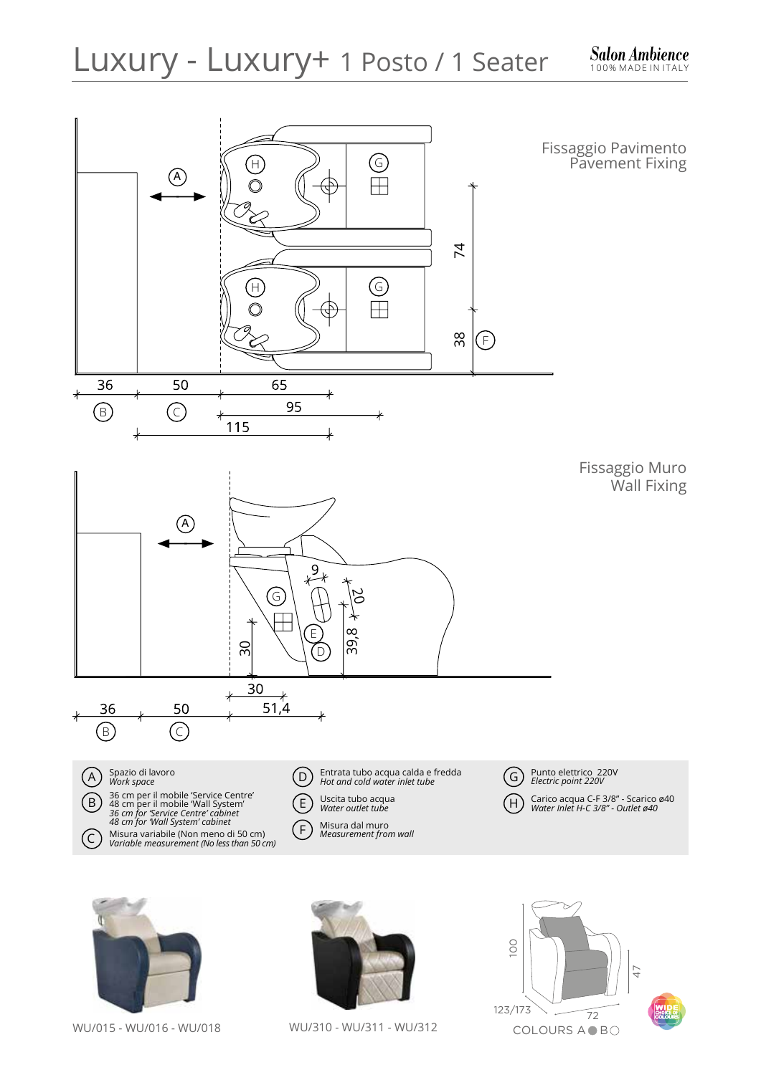

WU/015 - WU/016 - WU/018

WU/310 - WU/311 - WU/312

COLOURS A **B**O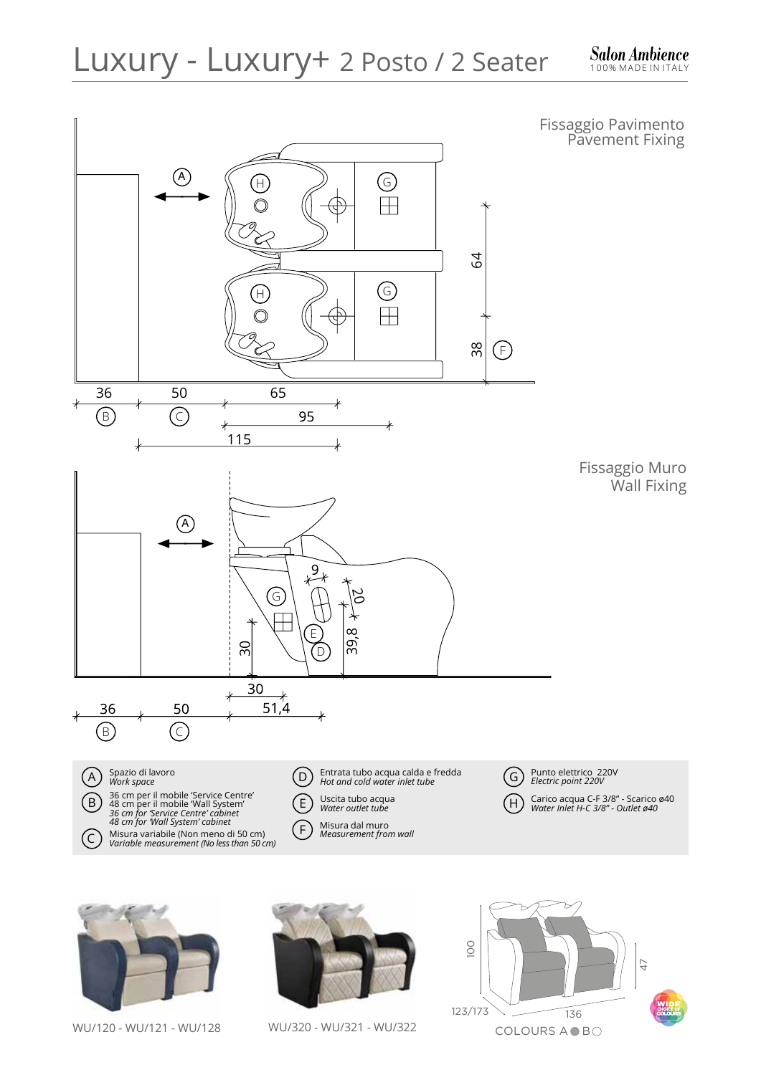





WU/120 - WU/121 - WU/128 WU/320 - WU/321 - WU/322